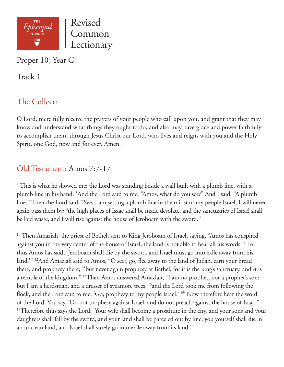

Proper 10, Year C

Track 1

# The Collect:

O Lord, mercifully receive the prayers of your people who call upon you, and grant that they may know and understand what things they ought to do, and also may have grace and power faithfully to accomplish them; through Jesus Christ our Lord, who lives and reigns with you and the Holy Spirit, one God, now and for ever. Amen.

# Old Testament: Amos 7:7-17

 $7$  This is what he showed me: the Lord was standing beside a wall built with a plumb line, with a plumb line in his hand. <sup>8</sup>And the Lord said to me, "Amos, what do you see?" And I said, "A plumb line." Then the Lord said, "See, I am setting a plumb line in the midst of my people Israel; I will never again pass them by; <sup>9</sup>the high places of Isaac shall be made desolate, and the sanctuaries of Israel shall be laid waste, and I will rise against the house of Jeroboam with the sword."

<sup>10</sup> Then Amaziah, the priest of Bethel, sent to King Jeroboam of Israel, saying, "Amos has conspired against you in the very center of the house of Israel; the land is not able to bear all his words. 11For thus Amos has said, 'Jeroboam shall die by the sword, and Israel must go into exile away from his land.'" 12And Amaziah said to Amos, "O seer, go, flee away to the land of Judah, earn your bread there, and prophesy there; <sup>13</sup>but never again prophesy at Bethel, for it is the king's sanctuary, and it is a temple of the kingdom." <sup>14</sup>Then Amos answered Amaziah, "I am no prophet, nor a prophet's son; but I am a herdsman, and a dresser of sycamore trees, <sup>15</sup> and the Lord took me from following the flock, and the Lord said to me, 'Go, prophesy to my people Israel.' <sup>16"</sup>Now therefore hear the word of the Lord. You say, 'Do not prophesy against Israel, and do not preach against the house of Isaac." <sup>17</sup>Therefore thus says the Lord: 'Your wife shall become a prostitute in the city, and your sons and your daughters shall fall by the sword, and your land shall be parceled out by line; you yourself shall die in an unclean land, and Israel shall surely go into exile away from its land.'"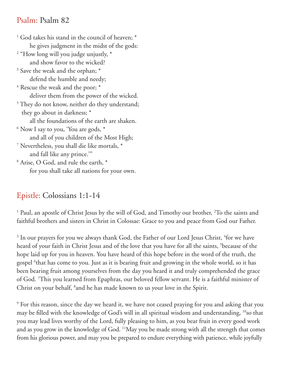### Psalm: Psalm 82

<sup>1</sup> God takes his stand in the council of heaven;  $^*$  he gives judgment in the midst of the gods: 2 "How long will you judge unjustly, \* and show favor to the wicked? <sup>3</sup> Save the weak and the orphan;  $*$  defend the humble and needy;  $^4$  Rescue the weak and the poor;  $^\ast$  deliver them from the power of the wicked. <sup>5</sup> They do not know, neither do they understand; they go about in darkness; \* all the foundations of the earth are shaken.  $^6$  Now I say to you, 'You are gods,  $^\ast$  and all of you children of the Most High; 7 Nevertheless, you shall die like mortals, \* and fall like any prince.'" 8 Arise, O God, and rule the earth, \* for you shall take all nations for your own.

### Epistle: Colossians 1:1-14

<sup>1</sup> Paul, an apostle of Christ Jesus by the will of God, and Timothy our brother, <sup>2</sup>To the saints and faithful brothers and sisters in Christ in Colossae: Grace to you and peace from God our Father.

 $3$  In our prayers for you we always thank God, the Father of our Lord Jesus Christ,  $4$ for we have heard of your faith in Christ Jesus and of the love that you have for all the saints, <sup>5</sup>because of the hope laid up for you in heaven. You have heard of this hope before in the word of the truth, the gospel <sup>6</sup>that has come to you. Just as it is bearing fruit and growing in the whole world, so it has been bearing fruit among yourselves from the day you heard it and truly comprehended the grace of God. 7 This you learned from Epaphras, our beloved fellow servant. He is a faithful minister of Christ on your behalf, <sup>8</sup>and he has made known to us your love in the Spirit.

9 For this reason, since the day we heard it, we have not ceased praying for you and asking that you may be filled with the knowledge of God's will in all spiritual wisdom and understanding, <sup>10</sup>so that you may lead lives worthy of the Lord, fully pleasing to him, as you bear fruit in every good work and as you grow in the knowledge of God. 11May you be made strong with all the strength that comes from his glorious power, and may you be prepared to endure everything with patience, while joyfully